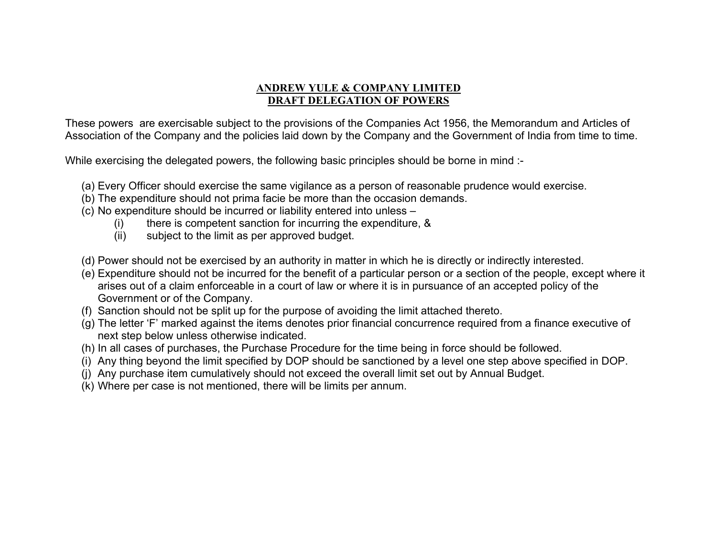## **ANDREW YULE & COMPANY LIMITED DRAFT DELEGATION OF POWERS**

These powers are exercisable subject to the provisions of the Companies Act 1956, the Memorandum and Articles of Association of the Company and the policies laid down by the Company and the Government of India from time to time.

While exercising the delegated powers, the following basic principles should be borne in mind :-

- (a) Every Officer should exercise the same vigilance as a person of reasonable prudence would exercise.
- (b) The expenditure should not prima facie be more than the occasion demands.
- (c) No expenditure should be incurred or liability entered into unless
	- (i) there is competent sanction for incurring the expenditure, &
	- (ii) subject to the limit as per approved budget.
- (d) Power should not be exercised by an authority in matter in which he is directly or indirectly interested.
- (e) Expenditure should not be incurred for the benefit of a particular person or a section of the people, except where it arises out of a claim enforceable in a court of law or where it is in pursuance of an accepted policy of the Government or of the Company.
- (f) Sanction should not be split up for the purpose of avoiding the limit attached thereto.
- (g) The letter 'F' marked against the items denotes prior financial concurrence required from a finance executive of next step below unless otherwise indicated.
- (h) In all cases of purchases, the Purchase Procedure for the time being in force should be followed.
- (i) Any thing beyond the limit specified by DOP should be sanctioned by a level one step above specified in DOP.
- (j) Any purchase item cumulatively should not exceed the overall limit set out by Annual Budget.
- (k) Where per case is not mentioned, there will be limits per annum.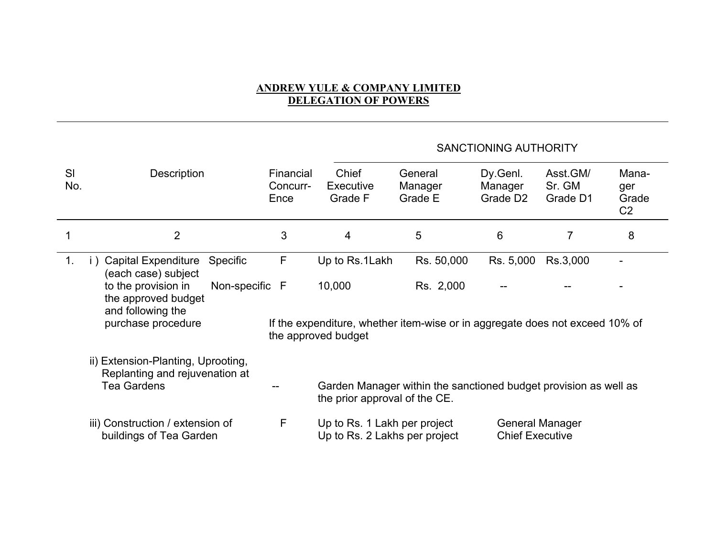## **ANDREW YULE & COMPANY LIMITED DELEGATION OF POWERS**

## SANCTIONING AUTHORITY

| SI<br>No.      | Description                                                                                             | Financial<br>Concurr-<br>Ence | Chief<br>Executive<br>Grade F                                                                                 | General<br>Manager<br>Grade E                                    | Dy.Genl.<br>Manager<br>Grade D <sub>2</sub> | Asst.GM/<br>Sr. GM<br>Grade D1 | Mana-<br>ger<br>Grade<br>C <sub>2</sub> |
|----------------|---------------------------------------------------------------------------------------------------------|-------------------------------|---------------------------------------------------------------------------------------------------------------|------------------------------------------------------------------|---------------------------------------------|--------------------------------|-----------------------------------------|
|                | $\overline{2}$                                                                                          | 3                             | $\overline{4}$                                                                                                | 5                                                                | $6\phantom{1}6$                             | 7                              | 8                                       |
| $\mathbf{1}$ . | <b>Capital Expenditure</b><br><b>Specific</b><br>i)<br>(each case) subject                              | F                             | Up to Rs.1Lakh                                                                                                | Rs. 50,000                                                       | Rs. 5,000                                   | Rs.3,000                       |                                         |
|                | to the provision in<br>Non-specific F<br>the approved budget<br>and following the<br>purchase procedure |                               | 10,000<br>If the expenditure, whether item-wise or in aggregate does not exceed 10% of<br>the approved budget | Rs. 2,000                                                        |                                             |                                |                                         |
|                | ii) Extension-Planting, Uprooting,<br>Replanting and rejuvenation at                                    |                               |                                                                                                               |                                                                  |                                             |                                |                                         |
|                | <b>Tea Gardens</b>                                                                                      |                               | the prior approval of the CE.                                                                                 | Garden Manager within the sanctioned budget provision as well as |                                             |                                |                                         |
|                | iii) Construction / extension of<br>buildings of Tea Garden                                             | F                             | Up to Rs. 1 Lakh per project<br>Up to Rs. 2 Lakhs per project                                                 |                                                                  | <b>Chief Executive</b>                      | <b>General Manager</b>         |                                         |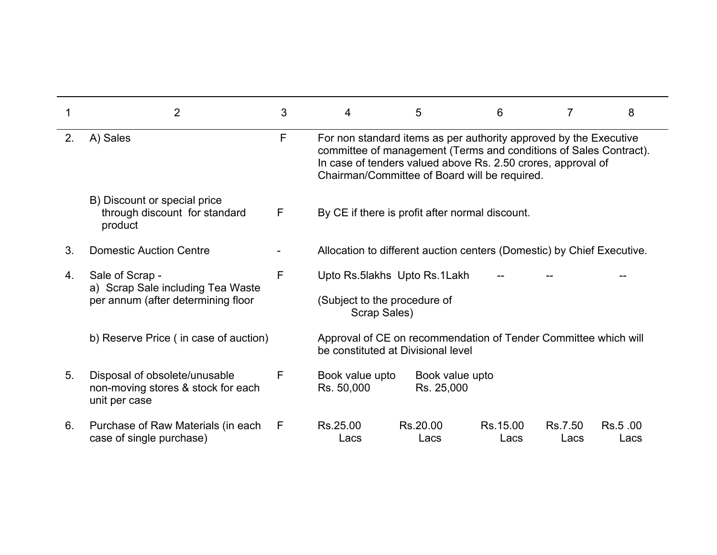|    | $\overline{2}$                                                                             | 3 | 4                                                                                                                                                                                                                                                       | 5                             | 6                | 7               | 8               |
|----|--------------------------------------------------------------------------------------------|---|---------------------------------------------------------------------------------------------------------------------------------------------------------------------------------------------------------------------------------------------------------|-------------------------------|------------------|-----------------|-----------------|
| 2. | A) Sales                                                                                   | F | For non standard items as per authority approved by the Executive<br>committee of management (Terms and conditions of Sales Contract).<br>In case of tenders valued above Rs. 2.50 crores, approval of<br>Chairman/Committee of Board will be required. |                               |                  |                 |                 |
|    | B) Discount or special price<br>through discount for standard<br>product                   | F | By CE if there is profit after normal discount.                                                                                                                                                                                                         |                               |                  |                 |                 |
| 3. | <b>Domestic Auction Centre</b>                                                             |   | Allocation to different auction centers (Domestic) by Chief Executive.                                                                                                                                                                                  |                               |                  |                 |                 |
| 4. | Sale of Scrap -<br>a) Scrap Sale including Tea Waste<br>per annum (after determining floor | F | Upto Rs.5lakhs Upto Rs.1Lakh<br>(Subject to the procedure of<br>Scrap Sales)                                                                                                                                                                            |                               |                  |                 |                 |
|    | b) Reserve Price (in case of auction)                                                      |   | Approval of CE on recommendation of Tender Committee which will<br>be constituted at Divisional level                                                                                                                                                   |                               |                  |                 |                 |
| 5. | Disposal of obsolete/unusable<br>non-moving stores & stock for each<br>unit per case       | F | Book value upto<br>Rs. 50,000                                                                                                                                                                                                                           | Book value upto<br>Rs. 25,000 |                  |                 |                 |
| 6. | Purchase of Raw Materials (in each<br>case of single purchase)                             | F | Rs.25.00<br>Lacs                                                                                                                                                                                                                                        | Rs.20.00<br>Lacs              | Rs.15.00<br>Lacs | Rs.7.50<br>Lacs | Rs.5.00<br>Lacs |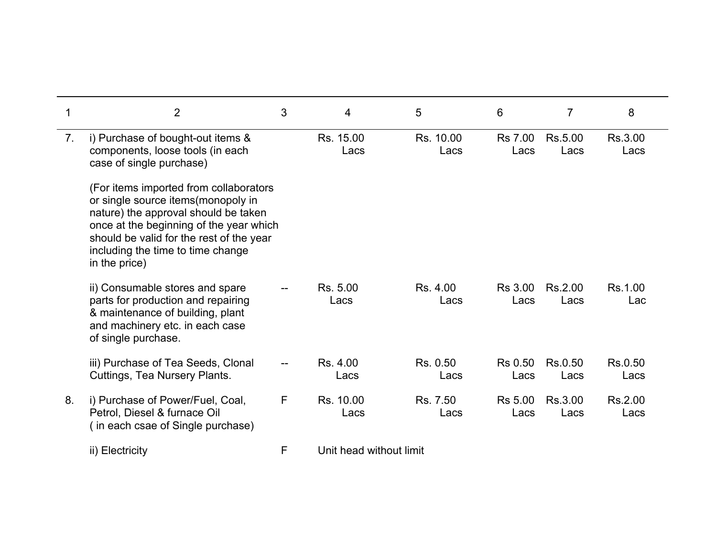|                | $\overline{2}$                                                                                                                                                                                                                                                    | 3 | 4                       | 5                 | 6                      | 7               | 8               |
|----------------|-------------------------------------------------------------------------------------------------------------------------------------------------------------------------------------------------------------------------------------------------------------------|---|-------------------------|-------------------|------------------------|-----------------|-----------------|
| 7 <sub>1</sub> | i) Purchase of bought-out items &<br>components, loose tools (in each<br>case of single purchase)                                                                                                                                                                 |   | Rs. 15.00<br>Lacs       | Rs. 10.00<br>Lacs | <b>Rs 7.00</b><br>Lacs | Rs.5.00<br>Lacs | Rs.3.00<br>Lacs |
|                | (For items imported from collaborators<br>or single source items(monopoly in<br>nature) the approval should be taken<br>once at the beginning of the year which<br>should be valid for the rest of the year<br>including the time to time change<br>in the price) |   |                         |                   |                        |                 |                 |
|                | ii) Consumable stores and spare<br>parts for production and repairing<br>& maintenance of building, plant<br>and machinery etc. in each case<br>of single purchase.                                                                                               |   | Rs. 5.00<br>Lacs        | Rs. 4.00<br>Lacs  | <b>Rs 3.00</b><br>Lacs | Rs.2.00<br>Lacs | Rs.1.00<br>Lac  |
|                | iii) Purchase of Tea Seeds, Clonal<br>Cuttings, Tea Nursery Plants.                                                                                                                                                                                               |   | Rs. 4.00<br>Lacs        | Rs. 0.50<br>Lacs  | <b>Rs 0.50</b><br>Lacs | Rs.0.50<br>Lacs | Rs.0.50<br>Lacs |
| 8.             | i) Purchase of Power/Fuel, Coal,<br>Petrol, Diesel & furnace Oil<br>(in each csae of Single purchase)                                                                                                                                                             | F | Rs. 10.00<br>Lacs       | Rs. 7.50<br>Lacs  | Rs 5.00<br>Lacs        | Rs.3.00<br>Lacs | Rs.2.00<br>Lacs |
|                | ii) Electricity                                                                                                                                                                                                                                                   | F | Unit head without limit |                   |                        |                 |                 |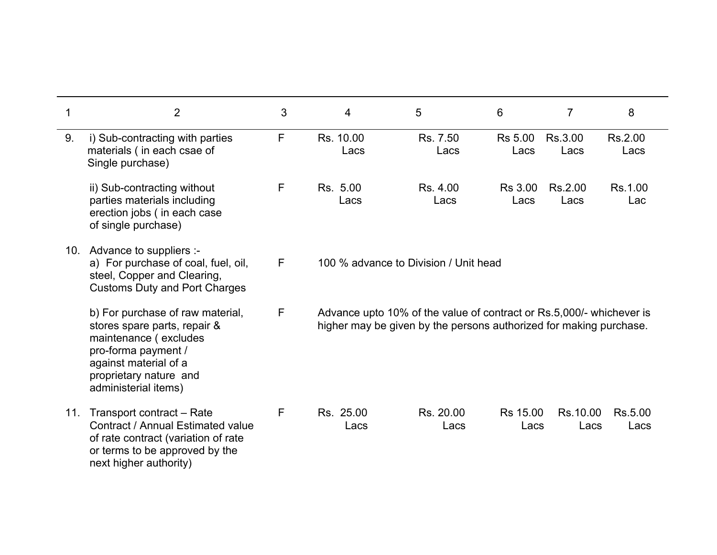| 1   | $\overline{2}$                                                                                                                                                                              | 3            | $\overline{4}$    | 5                                                                                                                                          | 6                      | 7                | 8               |
|-----|---------------------------------------------------------------------------------------------------------------------------------------------------------------------------------------------|--------------|-------------------|--------------------------------------------------------------------------------------------------------------------------------------------|------------------------|------------------|-----------------|
| 9.  | i) Sub-contracting with parties<br>materials (in each csae of<br>Single purchase)                                                                                                           | F            | Rs. 10.00<br>Lacs | Rs. 7.50<br>Lacs                                                                                                                           | <b>Rs 5.00</b><br>Lacs | Rs.3.00<br>Lacs  | Rs.2.00<br>Lacs |
|     | ii) Sub-contracting without<br>parties materials including<br>erection jobs (in each case<br>of single purchase)                                                                            | $\mathsf{F}$ | Rs. 5.00<br>Lacs  | Rs. 4.00<br>Lacs                                                                                                                           | <b>Rs 3.00</b><br>Lacs | Rs.2.00<br>Lacs  | Rs.1.00<br>Lac  |
|     | 10. Advance to suppliers :-<br>a) For purchase of coal, fuel, oil,<br>steel, Copper and Clearing,<br><b>Customs Duty and Port Charges</b>                                                   | F            |                   | 100 % advance to Division / Unit head                                                                                                      |                        |                  |                 |
|     | b) For purchase of raw material,<br>stores spare parts, repair &<br>maintenance (excludes<br>pro-forma payment /<br>against material of a<br>proprietary nature and<br>administerial items) | $\mathsf{F}$ |                   | Advance upto 10% of the value of contract or Rs.5,000/- whichever is<br>higher may be given by the persons authorized for making purchase. |                        |                  |                 |
| 11. | Transport contract – Rate<br>Contract / Annual Estimated value<br>of rate contract (variation of rate<br>or terms to be approved by the<br>next higher authority)                           | F            | Rs. 25.00<br>Lacs | Rs. 20.00<br>Lacs                                                                                                                          | Rs 15.00<br>Lacs       | Rs.10.00<br>Lacs | Rs.5.00<br>Lacs |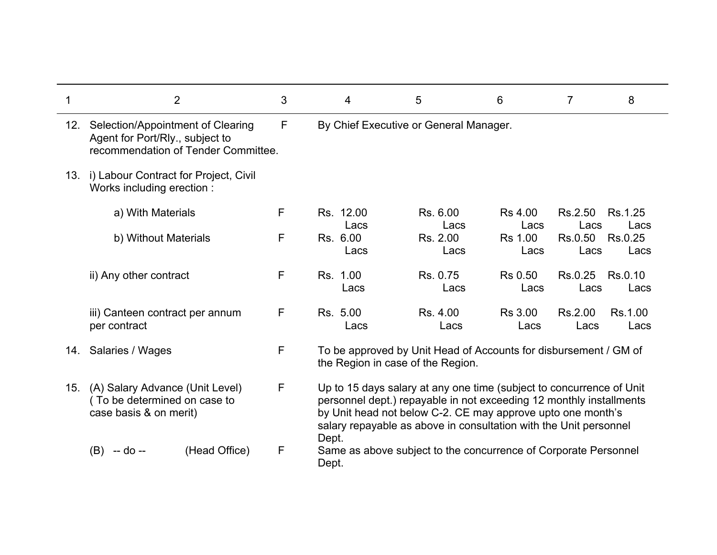|     | $\overline{2}$                                                                                              | 3 | 4                 | 5                                                                                                                                                                                                                                                                               | 6                      | $\overline{7}$  | 8               |
|-----|-------------------------------------------------------------------------------------------------------------|---|-------------------|---------------------------------------------------------------------------------------------------------------------------------------------------------------------------------------------------------------------------------------------------------------------------------|------------------------|-----------------|-----------------|
| 12. | Selection/Appointment of Clearing<br>Agent for Port/Rly., subject to<br>recommendation of Tender Committee. | F |                   | By Chief Executive or General Manager.                                                                                                                                                                                                                                          |                        |                 |                 |
| 13. | i) Labour Contract for Project, Civil<br>Works including erection:                                          |   |                   |                                                                                                                                                                                                                                                                                 |                        |                 |                 |
|     | a) With Materials                                                                                           | F | Rs. 12.00<br>Lacs | Rs. 6.00<br>Lacs                                                                                                                                                                                                                                                                | Rs 4.00<br>Lacs        | Rs.2.50<br>Lacs | Rs.1.25<br>Lacs |
|     | b) Without Materials                                                                                        | F | Rs. 6.00<br>Lacs  | Rs. 2.00<br>Lacs                                                                                                                                                                                                                                                                | <b>Rs 1.00</b><br>Lacs | Rs.0.50<br>Lacs | Rs.0.25<br>Lacs |
|     | ii) Any other contract                                                                                      | F | Rs. 1.00<br>Lacs  | Rs. 0.75<br>Lacs                                                                                                                                                                                                                                                                | Rs 0.50<br>Lacs        | Rs.0.25<br>Lacs | Rs.0.10<br>Lacs |
|     | iii) Canteen contract per annum<br>per contract                                                             | F | Rs. 5.00<br>Lacs  | Rs. 4.00<br>Lacs                                                                                                                                                                                                                                                                | <b>Rs 3.00</b><br>Lacs | Rs.2.00<br>Lacs | Rs.1.00<br>Lacs |
| 14. | Salaries / Wages                                                                                            | F |                   | To be approved by Unit Head of Accounts for disbursement / GM of<br>the Region in case of the Region.                                                                                                                                                                           |                        |                 |                 |
| 15. | (A) Salary Advance (Unit Level)<br>(To be determined on case to<br>case basis & on merit)                   | F | Dept.             | Up to 15 days salary at any one time (subject to concurrence of Unit<br>personnel dept.) repayable in not exceeding 12 monthly installments<br>by Unit head not below C-2. CE may approve upto one month's<br>salary repayable as above in consultation with the Unit personnel |                        |                 |                 |
|     | (Head Office)<br>(B)<br>-- do --                                                                            | F | Dept.             | Same as above subject to the concurrence of Corporate Personnel                                                                                                                                                                                                                 |                        |                 |                 |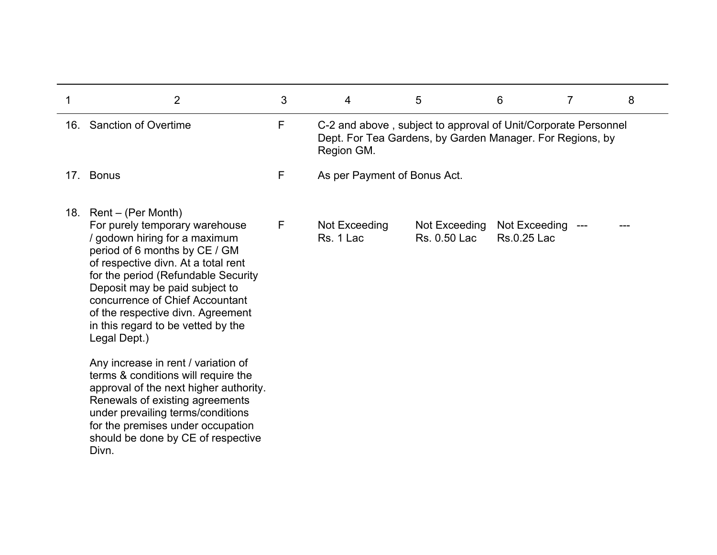| $\overline{2}$                                                                                                                                                                                                                                                                                                                                                           | 3 | $\overline{4}$               | 5                                                                                                                           | 6                            | 7 | 8 |
|--------------------------------------------------------------------------------------------------------------------------------------------------------------------------------------------------------------------------------------------------------------------------------------------------------------------------------------------------------------------------|---|------------------------------|-----------------------------------------------------------------------------------------------------------------------------|------------------------------|---|---|
| 16. Sanction of Overtime                                                                                                                                                                                                                                                                                                                                                 | F | Region GM.                   | C-2 and above, subject to approval of Unit/Corporate Personnel<br>Dept. For Tea Gardens, by Garden Manager. For Regions, by |                              |   |   |
| 17. Bonus                                                                                                                                                                                                                                                                                                                                                                | F | As per Payment of Bonus Act. |                                                                                                                             |                              |   |   |
| 18. Rent – (Per Month)<br>For purely temporary warehouse<br>/ godown hiring for a maximum<br>period of 6 months by CE / GM<br>of respective divn. At a total rent<br>for the period (Refundable Security<br>Deposit may be paid subject to<br>concurrence of Chief Accountant<br>of the respective divn. Agreement<br>in this regard to be vetted by the<br>Legal Dept.) | F | Not Exceeding<br>Rs. 1 Lac   | Not Exceeding<br>Rs. 0.50 Lac                                                                                               | Not Exceeding<br>Rs.0.25 Lac |   |   |
| Any increase in rent / variation of<br>terms & conditions will require the<br>approval of the next higher authority.<br>Renewals of existing agreements<br>under prevailing terms/conditions<br>for the premises under occupation<br>should be done by CE of respective<br>Divn.                                                                                         |   |                              |                                                                                                                             |                              |   |   |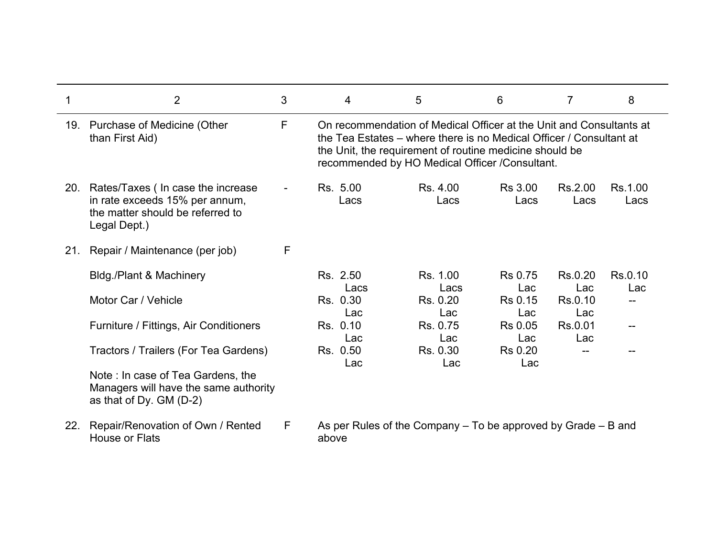|     | $\overline{2}$                                                                                                              | 3              | 4                | 5                                                                                                                                                                                                                                                       | 6                      | $\overline{7}$  | 8               |
|-----|-----------------------------------------------------------------------------------------------------------------------------|----------------|------------------|---------------------------------------------------------------------------------------------------------------------------------------------------------------------------------------------------------------------------------------------------------|------------------------|-----------------|-----------------|
|     | 19. Purchase of Medicine (Other<br>than First Aid)                                                                          | F              |                  | On recommendation of Medical Officer at the Unit and Consultants at<br>the Tea Estates – where there is no Medical Officer / Consultant at<br>the Unit, the requirement of routine medicine should be<br>recommended by HO Medical Officer /Consultant. |                        |                 |                 |
|     | 20. Rates/Taxes (In case the increase<br>in rate exceeds 15% per annum,<br>the matter should be referred to<br>Legal Dept.) | $\blacksquare$ | Rs. 5.00<br>Lacs | Rs. 4.00<br>Lacs                                                                                                                                                                                                                                        | <b>Rs 3.00</b><br>Lacs | Rs.2.00<br>Lacs | Rs.1.00<br>Lacs |
| 21. | Repair / Maintenance (per job)                                                                                              | F              |                  |                                                                                                                                                                                                                                                         |                        |                 |                 |
|     | Bldg./Plant & Machinery                                                                                                     |                | Rs. 2.50<br>Lacs | Rs. 1.00<br>Lacs                                                                                                                                                                                                                                        | <b>Rs 0.75</b><br>Lac  | Rs.0.20<br>Lac  | Rs.0.10<br>Lac  |
|     | Motor Car / Vehicle                                                                                                         |                | Rs. 0.30<br>Lac  | Rs. 0.20<br>Lac                                                                                                                                                                                                                                         | Rs 0.15<br>Lac         | Rs.0.10<br>Lac  | $-$             |
|     | Furniture / Fittings, Air Conditioners                                                                                      |                | Rs. 0.10<br>Lac  | Rs. 0.75<br>Lac                                                                                                                                                                                                                                         | Rs 0.05<br>Lac         | Rs.0.01<br>Lac  | $-$             |
|     | Tractors / Trailers (For Tea Gardens)                                                                                       |                | Rs. 0.50<br>Lac  | Rs. 0.30<br>Lac                                                                                                                                                                                                                                         | <b>Rs 0.20</b><br>Lac  |                 |                 |
|     | Note: In case of Tea Gardens, the<br>Managers will have the same authority<br>as that of Dy. GM (D-2)                       |                |                  |                                                                                                                                                                                                                                                         |                        |                 |                 |
| 22. | Repair/Renovation of Own / Rented<br>House or Flats                                                                         | F.             | above            | As per Rules of the Company $-$ To be approved by Grade $-$ B and                                                                                                                                                                                       |                        |                 |                 |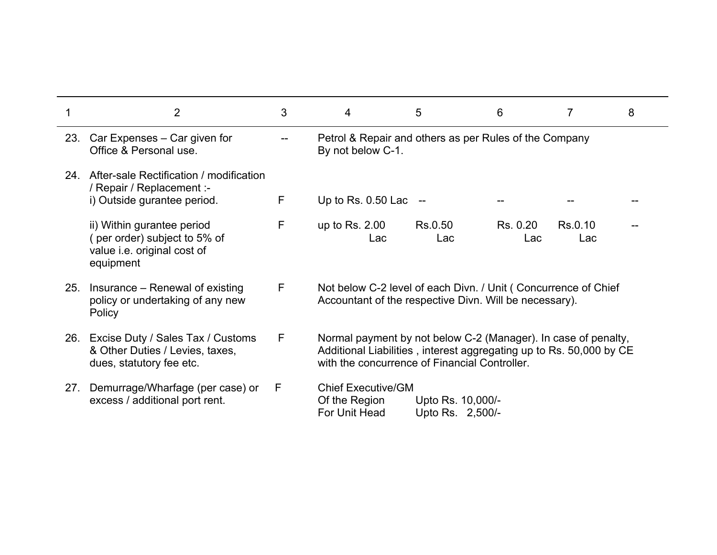| 2                                                                                                       | 3 | 4                                                                                                                                                                                      | 5                                     | 6               | 7              | 8 |
|---------------------------------------------------------------------------------------------------------|---|----------------------------------------------------------------------------------------------------------------------------------------------------------------------------------------|---------------------------------------|-----------------|----------------|---|
| 23. Car Expenses – Car given for<br>Office & Personal use.                                              |   | Petrol & Repair and others as per Rules of the Company<br>By not below C-1.                                                                                                            |                                       |                 |                |   |
| 24. After-sale Rectification / modification<br>/ Repair / Replacement :-<br>i) Outside gurantee period. | F | Up to Rs. $0.50$ Lac $-$                                                                                                                                                               |                                       |                 |                |   |
| ii) Within gurantee period<br>(per order) subject to 5% of<br>value i.e. original cost of<br>equipment  | F | up to Rs. $2.00$<br>Lac                                                                                                                                                                | Rs.0.50<br>Lac                        | Rs. 0.20<br>Lac | Rs.0.10<br>Lac |   |
| 25. Insurance – Renewal of existing<br>policy or undertaking of any new<br>Policy                       | F | Not below C-2 level of each Divn. / Unit (Concurrence of Chief<br>Accountant of the respective Divn. Will be necessary).                                                               |                                       |                 |                |   |
| 26. Excise Duty / Sales Tax / Customs<br>& Other Duties / Levies, taxes,<br>dues, statutory fee etc.    | F | Normal payment by not below C-2 (Manager). In case of penalty,<br>Additional Liabilities, interest aggregating up to Rs. 50,000 by CE<br>with the concurrence of Financial Controller. |                                       |                 |                |   |
| 27. Demurrage/Wharfage (per case) or<br>excess / additional port rent.                                  | F | <b>Chief Executive/GM</b><br>Of the Region<br>For Unit Head                                                                                                                            | Upto Rs. 10,000/-<br>Upto Rs. 2,500/- |                 |                |   |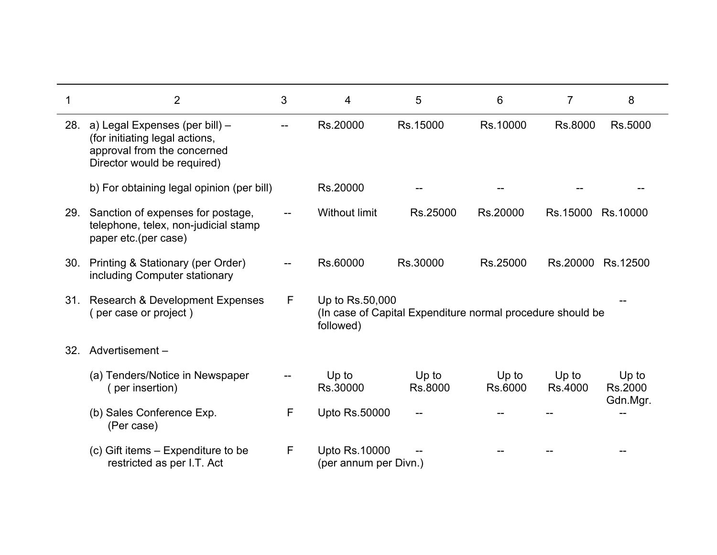|     | $\overline{2}$                                                                                                                 | 3 | 4                                             | 5                                                          | 6                | $\overline{7}$   | 8                            |
|-----|--------------------------------------------------------------------------------------------------------------------------------|---|-----------------------------------------------|------------------------------------------------------------|------------------|------------------|------------------------------|
| 28. | a) Legal Expenses (per bill) -<br>(for initiating legal actions,<br>approval from the concerned<br>Director would be required) |   | Rs.20000                                      | Rs.15000                                                   | Rs.10000         | Rs.8000          | Rs.5000                      |
|     | b) For obtaining legal opinion (per bill)                                                                                      |   | Rs.20000                                      |                                                            |                  |                  |                              |
| 29. | Sanction of expenses for postage,<br>telephone, telex, non-judicial stamp<br>paper etc.(per case)                              |   | <b>Without limit</b>                          | Rs.25000                                                   | Rs.20000         | Rs.15000         | Rs.10000                     |
| 30. | Printing & Stationary (per Order)<br>including Computer stationary                                                             |   | Rs.60000                                      | Rs.30000                                                   | Rs.25000         | Rs.20000         | Rs.12500                     |
| 31. | Research & Development Expenses<br>per case or project)                                                                        | F | Up to Rs.50,000<br>followed)                  | (In case of Capital Expenditure normal procedure should be |                  |                  |                              |
| 32. | Advertisement-                                                                                                                 |   |                                               |                                                            |                  |                  |                              |
|     | (a) Tenders/Notice in Newspaper<br>(per insertion)                                                                             |   | Up to<br>Rs.30000                             | Up to<br>Rs.8000                                           | Up to<br>Rs.6000 | Up to<br>Rs.4000 | Up to<br>Rs.2000<br>Gdn.Mgr. |
|     | (b) Sales Conference Exp.<br>(Per case)                                                                                        | F | Upto Rs.50000                                 |                                                            |                  |                  |                              |
|     | (c) Gift items – Expenditure to be<br>restricted as per I.T. Act                                                               | F | <b>Upto Rs.10000</b><br>(per annum per Divn.) |                                                            |                  |                  |                              |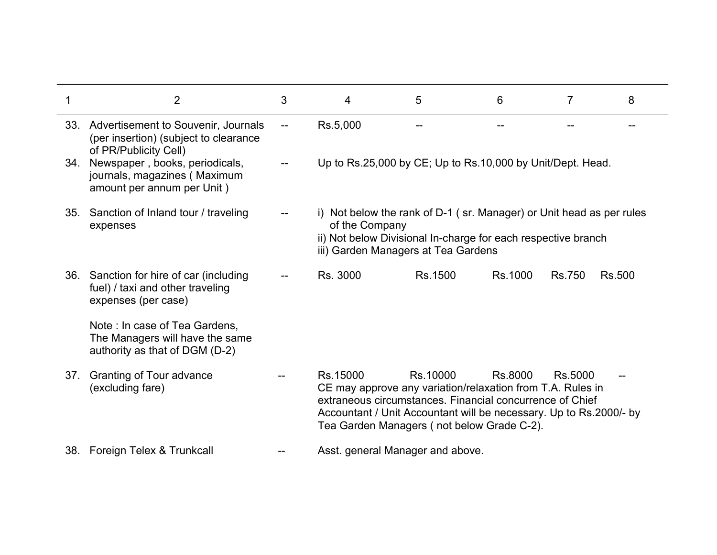|     | $\overline{2}$                                                                                            | 3 | 4                                                                                                                                                                                              | 5                                                                                                                                                                                                                                                      | 6       | 7             | 8             |  |  |
|-----|-----------------------------------------------------------------------------------------------------------|---|------------------------------------------------------------------------------------------------------------------------------------------------------------------------------------------------|--------------------------------------------------------------------------------------------------------------------------------------------------------------------------------------------------------------------------------------------------------|---------|---------------|---------------|--|--|
|     | 33. Advertisement to Souvenir, Journals<br>(per insertion) (subject to clearance<br>of PR/Publicity Cell) |   | Rs.5,000                                                                                                                                                                                       |                                                                                                                                                                                                                                                        |         |               |               |  |  |
| 34. | Newspaper, books, periodicals,<br>journals, magazines (Maximum<br>amount per annum per Unit)              |   |                                                                                                                                                                                                | Up to Rs.25,000 by CE; Up to Rs.10,000 by Unit/Dept. Head.                                                                                                                                                                                             |         |               |               |  |  |
| 35. | Sanction of Inland tour / traveling<br>expenses                                                           |   | i) Not below the rank of D-1 (sr. Manager) or Unit head as per rules<br>of the Company<br>ii) Not below Divisional In-charge for each respective branch<br>iii) Garden Managers at Tea Gardens |                                                                                                                                                                                                                                                        |         |               |               |  |  |
|     | 36. Sanction for hire of car (including<br>fuel) / taxi and other traveling<br>expenses (per case)        |   | Rs. 3000                                                                                                                                                                                       | Rs.1500                                                                                                                                                                                                                                                | Rs.1000 | <b>Rs.750</b> | <b>Rs.500</b> |  |  |
|     | Note: In case of Tea Gardens,<br>The Managers will have the same<br>authority as that of DGM (D-2)        |   |                                                                                                                                                                                                |                                                                                                                                                                                                                                                        |         |               |               |  |  |
| 37. | Granting of Tour advance<br>(excluding fare)                                                              |   | Rs.15000                                                                                                                                                                                       | Rs.10000<br>CE may approve any variation/relaxation from T.A. Rules in<br>extraneous circumstances. Financial concurrence of Chief<br>Accountant / Unit Accountant will be necessary. Up to Rs.2000/- by<br>Tea Garden Managers (not below Grade C-2). | Rs.8000 | Rs.5000       |               |  |  |
|     | 38. Foreign Telex & Trunkcall                                                                             |   |                                                                                                                                                                                                | Asst. general Manager and above.                                                                                                                                                                                                                       |         |               |               |  |  |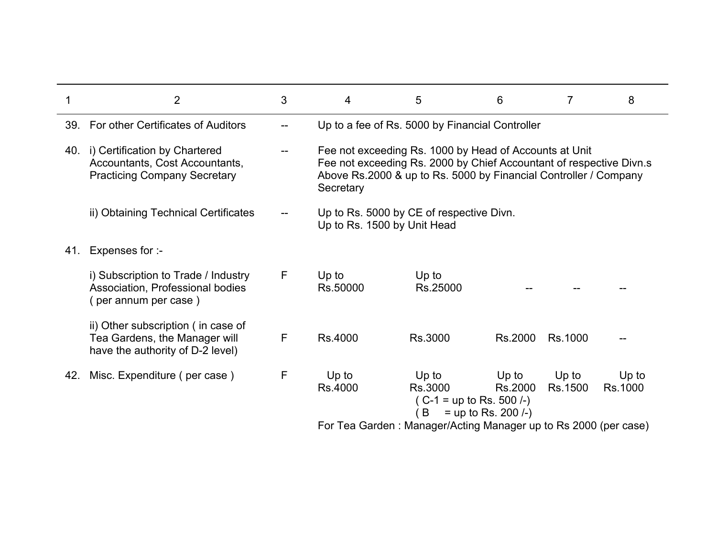|     | $\overline{2}$                                                                                             | 3 | 4                           | 5                                                                                                                                                                                                 | 6                                             | 7                | 8                |
|-----|------------------------------------------------------------------------------------------------------------|---|-----------------------------|---------------------------------------------------------------------------------------------------------------------------------------------------------------------------------------------------|-----------------------------------------------|------------------|------------------|
|     | 39. For other Certificates of Auditors                                                                     |   |                             | Up to a fee of Rs. 5000 by Financial Controller                                                                                                                                                   |                                               |                  |                  |
|     | 40. i) Certification by Chartered<br>Accountants, Cost Accountants,<br><b>Practicing Company Secretary</b> |   | Secretary                   | Fee not exceeding Rs. 1000 by Head of Accounts at Unit<br>Fee not exceeding Rs. 2000 by Chief Accountant of respective Divn.s<br>Above Rs.2000 & up to Rs. 5000 by Financial Controller / Company |                                               |                  |                  |
|     | ii) Obtaining Technical Certificates                                                                       |   | Up to Rs. 1500 by Unit Head | Up to Rs. 5000 by CE of respective Divn.                                                                                                                                                          |                                               |                  |                  |
| 41. | Expenses for :-                                                                                            |   |                             |                                                                                                                                                                                                   |                                               |                  |                  |
|     | i) Subscription to Trade / Industry<br>Association, Professional bodies<br>(per annum per case)            | F | Up to<br>Rs.50000           | Up to<br>Rs.25000                                                                                                                                                                                 |                                               |                  |                  |
|     | ii) Other subscription (in case of<br>Tea Gardens, the Manager will<br>have the authority of D-2 level)    | F | Rs.4000                     | Rs.3000                                                                                                                                                                                           | Rs.2000                                       | Rs.1000          |                  |
| 42. | Misc. Expenditure (per case)                                                                               | F | Up to<br>Rs.4000            | $Up$ to<br>Rs.3000<br>$(C-1 = up to Rs. 500/-)$<br>B                                                                                                                                              | $Up$ to<br>Rs.2000<br>$=$ up to Rs. 200 $(-)$ | Up to<br>Rs.1500 | Up to<br>Rs.1000 |
|     |                                                                                                            |   |                             | For Tea Garden: Manager/Acting Manager up to Rs 2000 (per case)                                                                                                                                   |                                               |                  |                  |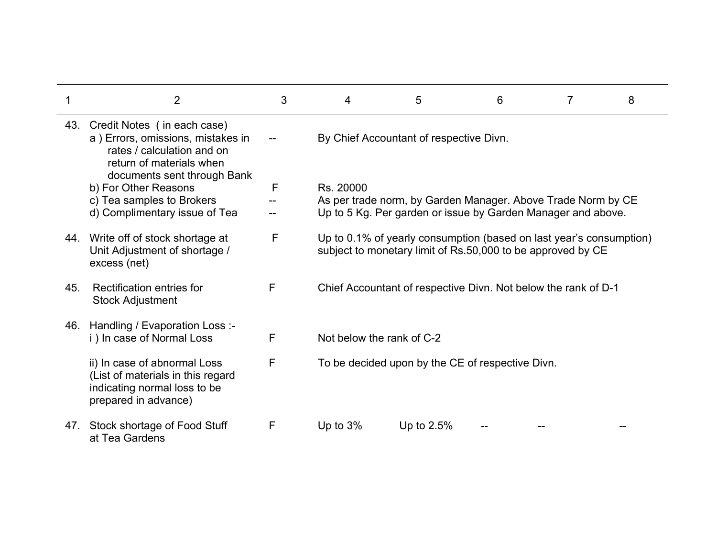|     | $\overline{2}$                                                                                                                                                | 3 | 4                         | 5                                                                                                                                  | 6 | 7 | 8 |
|-----|---------------------------------------------------------------------------------------------------------------------------------------------------------------|---|---------------------------|------------------------------------------------------------------------------------------------------------------------------------|---|---|---|
|     | 43. Credit Notes (in each case)<br>a) Errors, omissions, mistakes in<br>rates / calculation and on<br>return of materials when<br>documents sent through Bank |   |                           | By Chief Accountant of respective Divn.                                                                                            |   |   |   |
|     | b) For Other Reasons                                                                                                                                          | F | Rs. 20000                 |                                                                                                                                    |   |   |   |
|     | c) Tea samples to Brokers                                                                                                                                     |   |                           | As per trade norm, by Garden Manager. Above Trade Norm by CE                                                                       |   |   |   |
|     | d) Complimentary issue of Tea                                                                                                                                 |   |                           | Up to 5 Kg. Per garden or issue by Garden Manager and above.                                                                       |   |   |   |
|     | 44. Write off of stock shortage at<br>Unit Adjustment of shortage /<br>excess (net)                                                                           | F |                           | Up to 0.1% of yearly consumption (based on last year's consumption)<br>subject to monetary limit of Rs.50,000 to be approved by CE |   |   |   |
| 45. | Rectification entries for<br><b>Stock Adjustment</b>                                                                                                          | F |                           | Chief Accountant of respective Divn. Not below the rank of D-1                                                                     |   |   |   |
| 46. | Handling / Evaporation Loss :-<br>i) In case of Normal Loss                                                                                                   | F | Not below the rank of C-2 |                                                                                                                                    |   |   |   |
|     | ii) In case of abnormal Loss<br>(List of materials in this regard<br>indicating normal loss to be<br>prepared in advance)                                     | F |                           | To be decided upon by the CE of respective Divn.                                                                                   |   |   |   |
| 47. | Stock shortage of Food Stuff<br>at Tea Gardens                                                                                                                | F | Up to $3\%$               | Up to $2.5%$                                                                                                                       |   |   |   |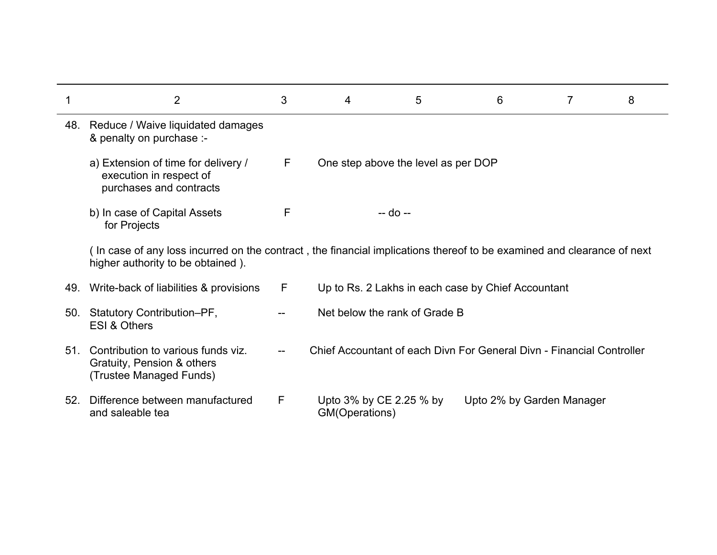|     | $\overline{2}$                                                                                                                                              | 3                                     | 4                                         | 5                                   | 6                                                                     |  | 8 |
|-----|-------------------------------------------------------------------------------------------------------------------------------------------------------------|---------------------------------------|-------------------------------------------|-------------------------------------|-----------------------------------------------------------------------|--|---|
|     | 48. Reduce / Waive liquidated damages<br>& penalty on purchase :-                                                                                           |                                       |                                           |                                     |                                                                       |  |   |
|     | a) Extension of time for delivery /<br>execution in respect of<br>purchases and contracts                                                                   | F                                     |                                           | One step above the level as per DOP |                                                                       |  |   |
|     | b) In case of Capital Assets<br>for Projects                                                                                                                | F                                     |                                           | -- do --                            |                                                                       |  |   |
|     | (In case of any loss incurred on the contract, the financial implications thereof to be examined and clearance of next<br>higher authority to be obtained). |                                       |                                           |                                     |                                                                       |  |   |
| 49. | Write-back of liabilities & provisions                                                                                                                      | F                                     |                                           |                                     | Up to Rs. 2 Lakhs in each case by Chief Accountant                    |  |   |
| 50. | Statutory Contribution-PF,<br>ESI & Others                                                                                                                  |                                       |                                           | Net below the rank of Grade B       |                                                                       |  |   |
| 51. | Contribution to various funds viz.<br>Gratuity, Pension & others<br>(Trustee Managed Funds)                                                                 | $\hspace{0.05cm}$ – $\hspace{0.05cm}$ |                                           |                                     | Chief Accountant of each Divn For General Divn - Financial Controller |  |   |
| 52. | Difference between manufactured<br>and saleable tea                                                                                                         | F                                     | Upto 3% by CE 2.25 % by<br>GM(Operations) |                                     | Upto 2% by Garden Manager                                             |  |   |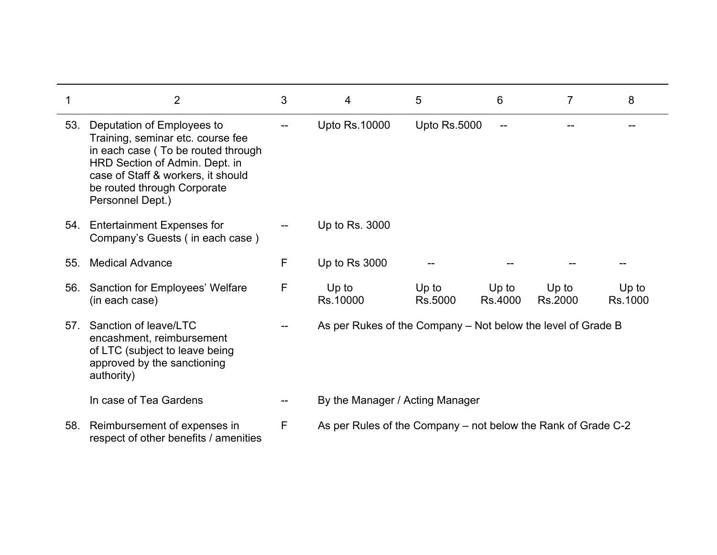|     | $\overline{2}$                                                                                                                                                                                                                   | 3 | 4                                                             | 5                   | 6                | 7                | 8                |
|-----|----------------------------------------------------------------------------------------------------------------------------------------------------------------------------------------------------------------------------------|---|---------------------------------------------------------------|---------------------|------------------|------------------|------------------|
| 53. | Deputation of Employees to<br>Training, seminar etc. course fee<br>in each case (To be routed through<br>HRD Section of Admin. Dept. in<br>case of Staff & workers, it should<br>be routed through Corporate<br>Personnel Dept.) |   | <b>Upto Rs.10000</b>                                          | <b>Upto Rs.5000</b> |                  |                  |                  |
| 54. | <b>Entertainment Expenses for</b><br>Company's Guests (in each case)                                                                                                                                                             |   | Up to Rs. 3000                                                |                     |                  |                  |                  |
| 55. | <b>Medical Advance</b>                                                                                                                                                                                                           | F | Up to Rs 3000                                                 |                     |                  |                  |                  |
| 56. | Sanction for Employees' Welfare<br>(in each case)                                                                                                                                                                                | F | Up to<br>Rs.10000                                             | Up to<br>Rs.5000    | Up to<br>Rs.4000 | Up to<br>Rs.2000 | Up to<br>Rs.1000 |
| 57. | Sanction of leave/LTC<br>encashment, reimbursement<br>of LTC (subject to leave being<br>approved by the sanctioning<br>authority)                                                                                                |   | As per Rukes of the Company – Not below the level of Grade B  |                     |                  |                  |                  |
|     | In case of Tea Gardens                                                                                                                                                                                                           |   | By the Manager / Acting Manager                               |                     |                  |                  |                  |
|     | 58. Reimbursement of expenses in<br>respect of other benefits / amenities                                                                                                                                                        | F | As per Rules of the Company – not below the Rank of Grade C-2 |                     |                  |                  |                  |